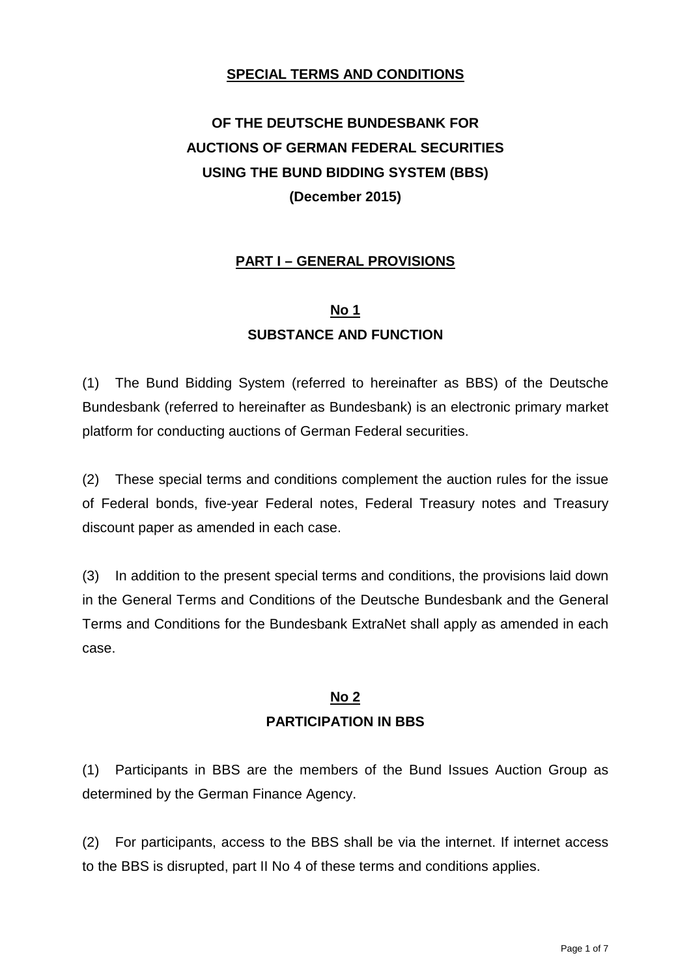#### **SPECIAL TERMS AND CONDITIONS**

# **OF THE DEUTSCHE BUNDESBANK FOR AUCTIONS OF GERMAN FEDERAL SECURITIES USING THE BUND BIDDING SYSTEM (BBS) (December 2015)**

## **PART I – GENERAL PROVISIONS**

# **No 1 SUBSTANCE AND FUNCTION**

(1) The Bund Bidding System (referred to hereinafter as BBS) of the Deutsche Bundesbank (referred to hereinafter as Bundesbank) is an electronic primary market platform for conducting auctions of German Federal securities.

(2) These special terms and conditions complement the auction rules for the issue of Federal bonds, five-year Federal notes, Federal Treasury notes and Treasury discount paper as amended in each case.

(3) In addition to the present special terms and conditions, the provisions laid down in the General Terms and Conditions of the Deutsche Bundesbank and the General Terms and Conditions for the Bundesbank ExtraNet shall apply as amended in each case.

## **No 2 PARTICIPATION IN BBS**

(1) Participants in BBS are the members of the Bund Issues Auction Group as determined by the German Finance Agency.

(2) For participants, access to the BBS shall be via the internet. If internet access to the BBS is disrupted, part II No 4 of these terms and conditions applies.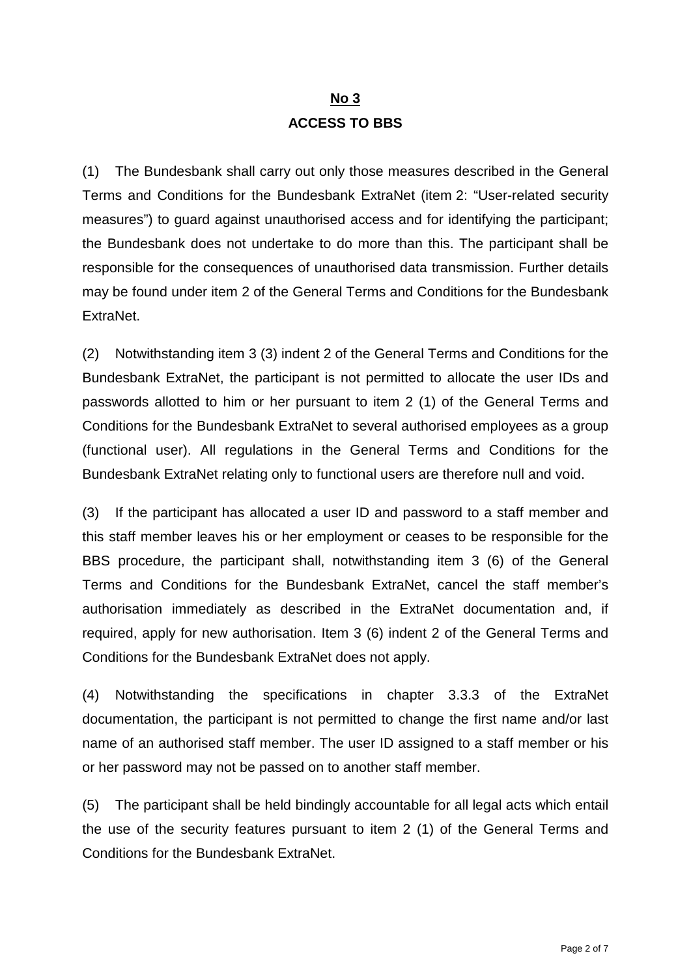# **No 3 ACCESS TO BBS**

(1) The Bundesbank shall carry out only those measures described in the General Terms and Conditions for the Bundesbank ExtraNet (item 2: "User-related security measures") to guard against unauthorised access and for identifying the participant; the Bundesbank does not undertake to do more than this. The participant shall be responsible for the consequences of unauthorised data transmission. Further details may be found under item 2 of the General Terms and Conditions for the Bundesbank ExtraNet.

(2) Notwithstanding item 3 (3) indent 2 of the General Terms and Conditions for the Bundesbank ExtraNet, the participant is not permitted to allocate the user IDs and passwords allotted to him or her pursuant to item 2 (1) of the General Terms and Conditions for the Bundesbank ExtraNet to several authorised employees as a group (functional user). All regulations in the General Terms and Conditions for the Bundesbank ExtraNet relating only to functional users are therefore null and void.

(3) If the participant has allocated a user ID and password to a staff member and this staff member leaves his or her employment or ceases to be responsible for the BBS procedure, the participant shall, notwithstanding item 3 (6) of the General Terms and Conditions for the Bundesbank ExtraNet, cancel the staff member's authorisation immediately as described in the ExtraNet documentation and, if required, apply for new authorisation. Item 3 (6) indent 2 of the General Terms and Conditions for the Bundesbank ExtraNet does not apply.

(4) Notwithstanding the specifications in chapter 3.3.3 of the ExtraNet documentation, the participant is not permitted to change the first name and/or last name of an authorised staff member. The user ID assigned to a staff member or his or her password may not be passed on to another staff member.

(5) The participant shall be held bindingly accountable for all legal acts which entail the use of the security features pursuant to item 2 (1) of the General Terms and Conditions for the Bundesbank ExtraNet.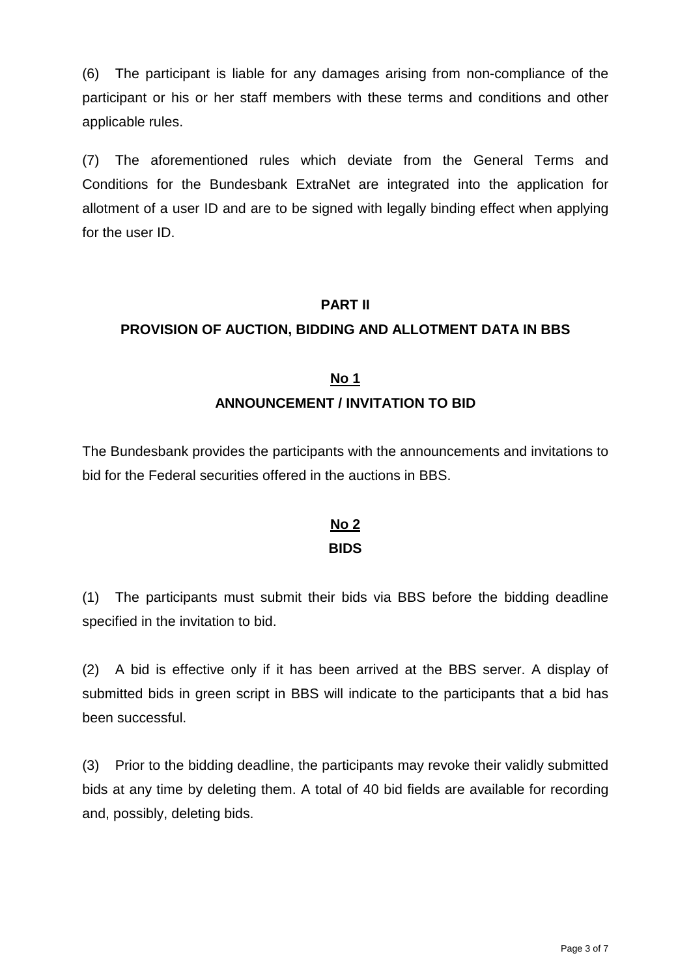(6) The participant is liable for any damages arising from non-compliance of the participant or his or her staff members with these terms and conditions and other applicable rules.

(7) The aforementioned rules which deviate from the General Terms and Conditions for the Bundesbank ExtraNet are integrated into the application for allotment of a user ID and are to be signed with legally binding effect when applying for the user ID.

#### **PART II**

## **PROVISION OF AUCTION, BIDDING AND ALLOTMENT DATA IN BBS**

## **No 1 ANNOUNCEMENT / INVITATION TO BID**

The Bundesbank provides the participants with the announcements and invitations to bid for the Federal securities offered in the auctions in BBS.

# **No 2**

#### **BIDS**

(1) The participants must submit their bids via BBS before the bidding deadline specified in the invitation to bid.

(2) A bid is effective only if it has been arrived at the BBS server. A display of submitted bids in green script in BBS will indicate to the participants that a bid has been successful.

(3) Prior to the bidding deadline, the participants may revoke their validly submitted bids at any time by deleting them. A total of 40 bid fields are available for recording and, possibly, deleting bids.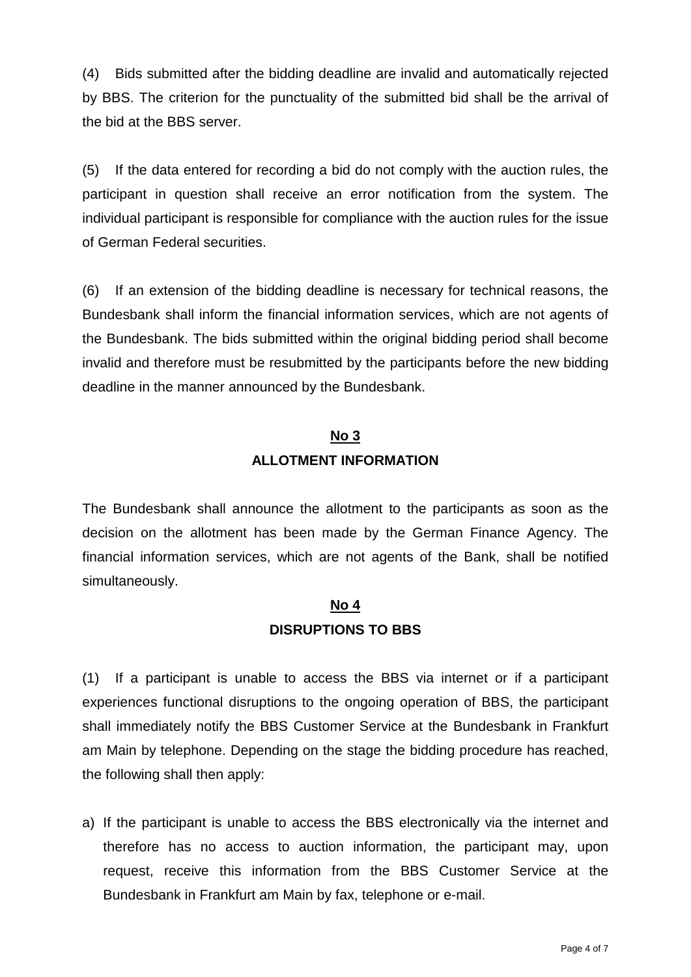(4) Bids submitted after the bidding deadline are invalid and automatically rejected by BBS. The criterion for the punctuality of the submitted bid shall be the arrival of the bid at the BBS server.

(5) If the data entered for recording a bid do not comply with the auction rules, the participant in question shall receive an error notification from the system. The individual participant is responsible for compliance with the auction rules for the issue of German Federal securities.

(6) If an extension of the bidding deadline is necessary for technical reasons, the Bundesbank shall inform the financial information services, which are not agents of the Bundesbank. The bids submitted within the original bidding period shall become invalid and therefore must be resubmitted by the participants before the new bidding deadline in the manner announced by the Bundesbank.

#### **No 3**

#### **ALLOTMENT INFORMATION**

The Bundesbank shall announce the allotment to the participants as soon as the decision on the allotment has been made by the German Finance Agency. The financial information services, which are not agents of the Bank, shall be notified simultaneously.

## **No 4 DISRUPTIONS TO BBS**

(1) If a participant is unable to access the BBS via internet or if a participant experiences functional disruptions to the ongoing operation of BBS, the participant shall immediately notify the BBS Customer Service at the Bundesbank in Frankfurt am Main by telephone. Depending on the stage the bidding procedure has reached, the following shall then apply:

a) If the participant is unable to access the BBS electronically via the internet and therefore has no access to auction information, the participant may, upon request, receive this information from the BBS Customer Service at the Bundesbank in Frankfurt am Main by fax, telephone or e-mail.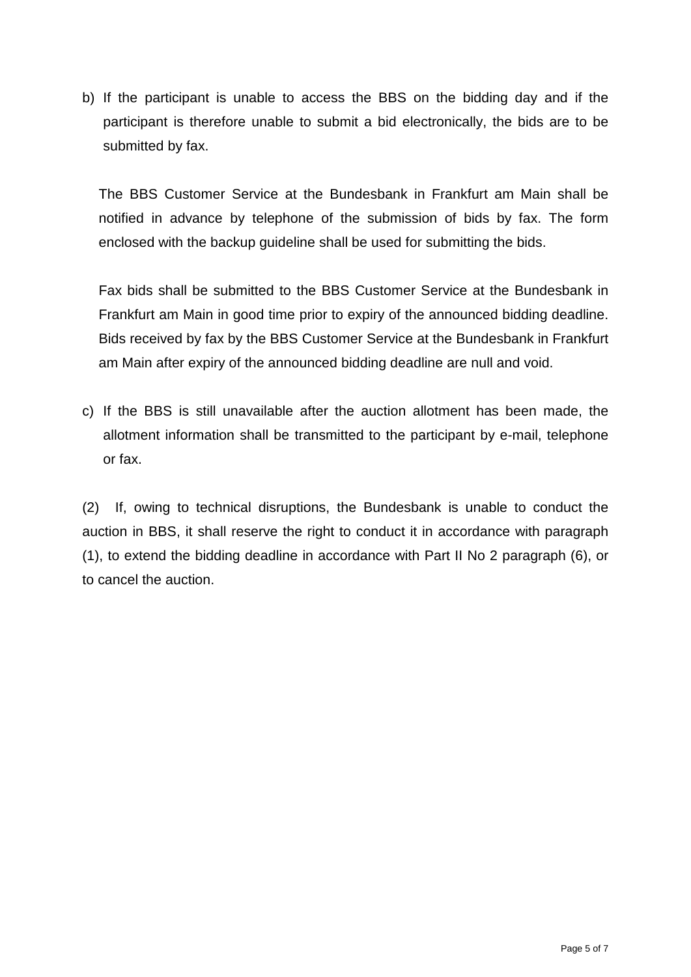b) If the participant is unable to access the BBS on the bidding day and if the participant is therefore unable to submit a bid electronically, the bids are to be submitted by fax.

The BBS Customer Service at the Bundesbank in Frankfurt am Main shall be notified in advance by telephone of the submission of bids by fax. The form enclosed with the backup guideline shall be used for submitting the bids.

Fax bids shall be submitted to the BBS Customer Service at the Bundesbank in Frankfurt am Main in good time prior to expiry of the announced bidding deadline. Bids received by fax by the BBS Customer Service at the Bundesbank in Frankfurt am Main after expiry of the announced bidding deadline are null and void.

c) If the BBS is still unavailable after the auction allotment has been made, the allotment information shall be transmitted to the participant by e-mail, telephone or fax.

(2) If, owing to technical disruptions, the Bundesbank is unable to conduct the auction in BBS, it shall reserve the right to conduct it in accordance with paragraph (1), to extend the bidding deadline in accordance with Part II No 2 paragraph (6), or to cancel the auction.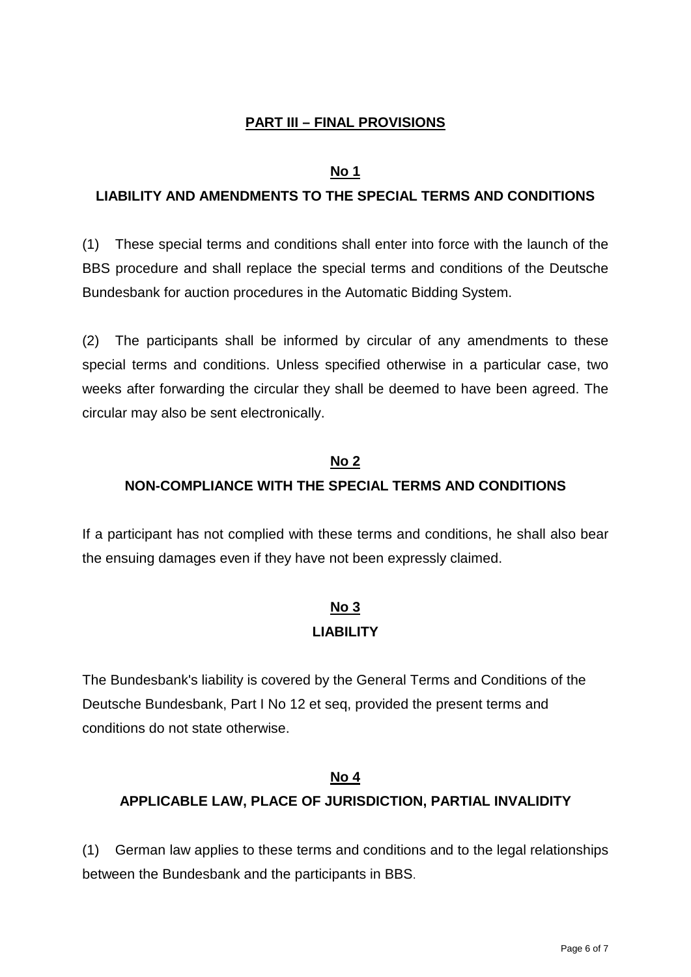### **PART III – FINAL PROVISIONS**

#### **No 1**

#### **LIABILITY AND AMENDMENTS TO THE SPECIAL TERMS AND CONDITIONS**

(1) These special terms and conditions shall enter into force with the launch of the BBS procedure and shall replace the special terms and conditions of the Deutsche Bundesbank for auction procedures in the Automatic Bidding System.

(2) The participants shall be informed by circular of any amendments to these special terms and conditions. Unless specified otherwise in a particular case, two weeks after forwarding the circular they shall be deemed to have been agreed. The circular may also be sent electronically.

# **No 2 NON-COMPLIANCE WITH THE SPECIAL TERMS AND CONDITIONS**

If a participant has not complied with these terms and conditions, he shall also bear the ensuing damages even if they have not been expressly claimed.

## **No 3 LIABILITY**

The Bundesbank's liability is covered by the General Terms and Conditions of the Deutsche Bundesbank, Part I No 12 et seq, provided the present terms and conditions do not state otherwise.

#### **No 4**

## **APPLICABLE LAW, PLACE OF JURISDICTION, PARTIAL INVALIDITY**

(1) German law applies to these terms and conditions and to the legal relationships between the Bundesbank and the participants in BBS.